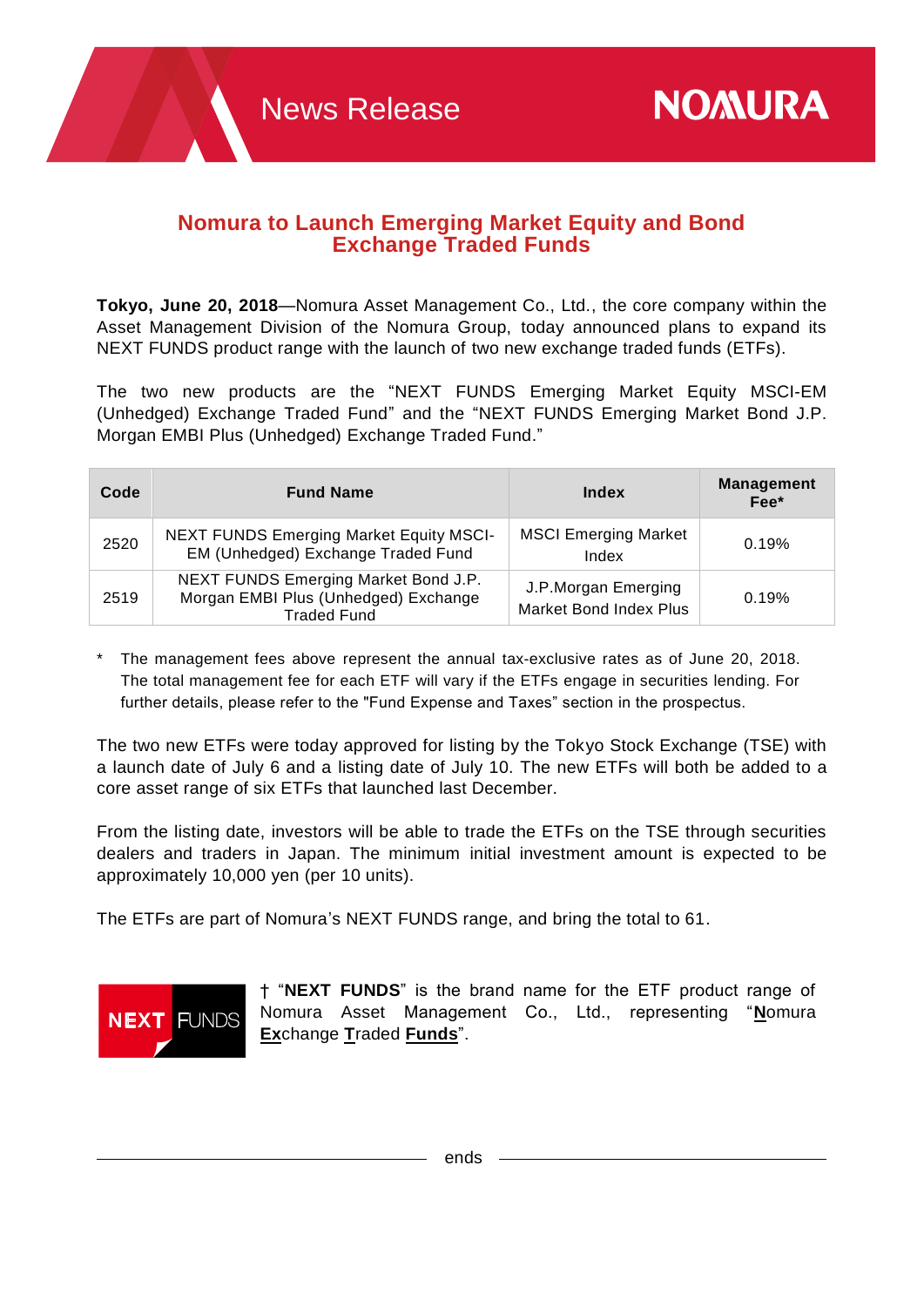## **Nomura to Launch Emerging Market Equity and Bond Exchange Traded Funds**

**Tokyo, June 20, 2018**—Nomura Asset Management Co., Ltd., the core company within the Asset Management Division of the Nomura Group, today announced plans to expand its NEXT FUNDS product range with the launch of two new exchange traded funds (ETFs).

The two new products are the "NEXT FUNDS Emerging Market Equity MSCI-EM (Unhedged) Exchange Traded Fund" and the "NEXT FUNDS Emerging Market Bond J.P. Morgan EMBI Plus (Unhedged) Exchange Traded Fund."

| Code | <b>Fund Name</b>                                                                                   | Index                                         | <b>Management</b><br>Fee* |
|------|----------------------------------------------------------------------------------------------------|-----------------------------------------------|---------------------------|
| 2520 | <b>NEXT FUNDS Emerging Market Equity MSCI-</b><br>EM (Unhedged) Exchange Traded Fund               | <b>MSCI Emerging Market</b><br>Index          | 0.19%                     |
| 2519 | NEXT FUNDS Emerging Market Bond J.P.<br>Morgan EMBI Plus (Unhedged) Exchange<br><b>Traded Fund</b> | J.P.Morgan Emerging<br>Market Bond Index Plus | 0.19%                     |

The management fees above represent the annual tax-exclusive rates as of June 20, 2018. The total management fee for each ETF will vary if the ETFs engage in securities lending. For further details, please refer to the "Fund Expense and Taxes" section in the prospectus.

The two new ETFs were today approved for listing by the Tokyo Stock Exchange (TSE) with a launch date of July 6 and a listing date of July 10. The new ETFs will both be added to a core asset range of six ETFs that launched last December.

From the listing date, investors will be able to trade the ETFs on the TSE through securities dealers and traders in Japan. The minimum initial investment amount is expected to be approximately 10,000 yen (per 10 units).

The ETFs are part of Nomura's NEXT FUNDS range, and bring the total to 61.



† "**NEXT FUNDS**" is the brand name for the ETF product range of Nomura Asset Management Co., Ltd., representing "**N**omura **Ex**change **T**raded **Funds**".

ends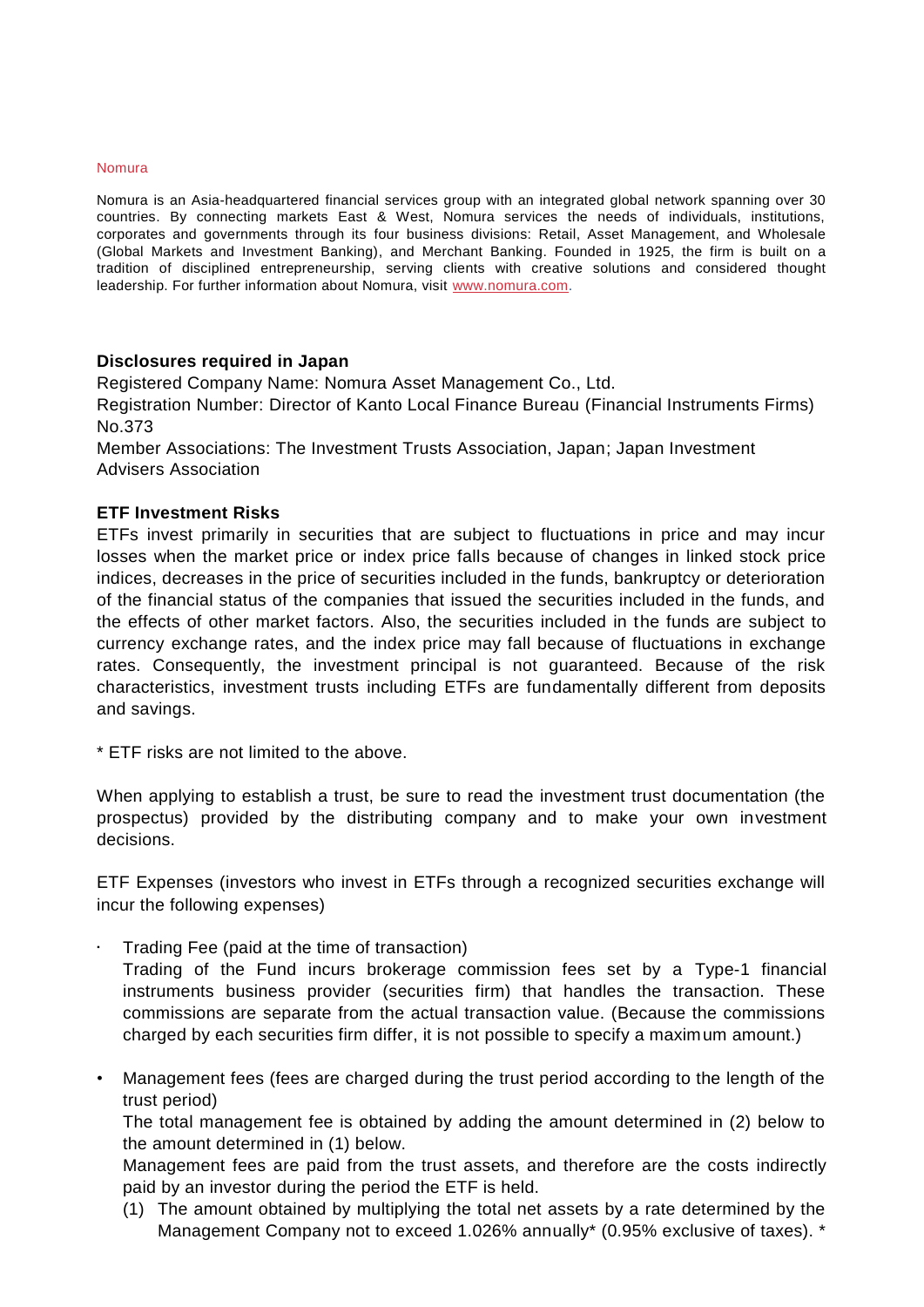## Nomura

Nomura is an Asia-headquartered financial services group with an integrated global network spanning over 30 countries. By connecting markets East & West, Nomura services the needs of individuals, institutions, corporates and governments through its four business divisions: Retail, Asset Management, and Wholesale (Global Markets and Investment Banking), and Merchant Banking. Founded in 1925, the firm is built on a tradition of disciplined entrepreneurship, serving clients with creative solutions and considered thought leadership. For further information about Nomura, visit [www.nomura.com.](http://www.nomura.com/)

## **Disclosures required in Japan**

Registered Company Name: Nomura Asset Management Co., Ltd.

Registration Number: Director of Kanto Local Finance Bureau (Financial Instruments Firms) No.373

Member Associations: The Investment Trusts Association, Japan; Japan Investment Advisers Association

## **ETF Investment Risks**

ETFs invest primarily in securities that are subject to fluctuations in price and may incur losses when the market price or index price falls because of changes in linked stock price indices, decreases in the price of securities included in the funds, bankruptcy or deterioration of the financial status of the companies that issued the securities included in the funds, and the effects of other market factors. Also, the securities included in the funds are subject to currency exchange rates, and the index price may fall because of fluctuations in exchange rates. Consequently, the investment principal is not guaranteed. Because of the risk characteristics, investment trusts including ETFs are fundamentally different from deposits and savings.

\* ETF risks are not limited to the above.

When applying to establish a trust, be sure to read the investment trust documentation (the prospectus) provided by the distributing company and to make your own investment decisions.

ETF Expenses (investors who invest in ETFs through a recognized securities exchange will incur the following expenses)

• Trading Fee (paid at the time of transaction)

Trading of the Fund incurs brokerage commission fees set by a Type-1 financial instruments business provider (securities firm) that handles the transaction. These commissions are separate from the actual transaction value. (Because the commissions charged by each securities firm differ, it is not possible to specify a maximum amount.)

• Management fees (fees are charged during the trust period according to the length of the trust period)

The total management fee is obtained by adding the amount determined in (2) below to the amount determined in (1) below.

Management fees are paid from the trust assets, and therefore are the costs indirectly paid by an investor during the period the ETF is held.

(1) The amount obtained by multiplying the total net assets by a rate determined by the Management Company not to exceed 1.026% annually\* (0.95% exclusive of taxes). \*